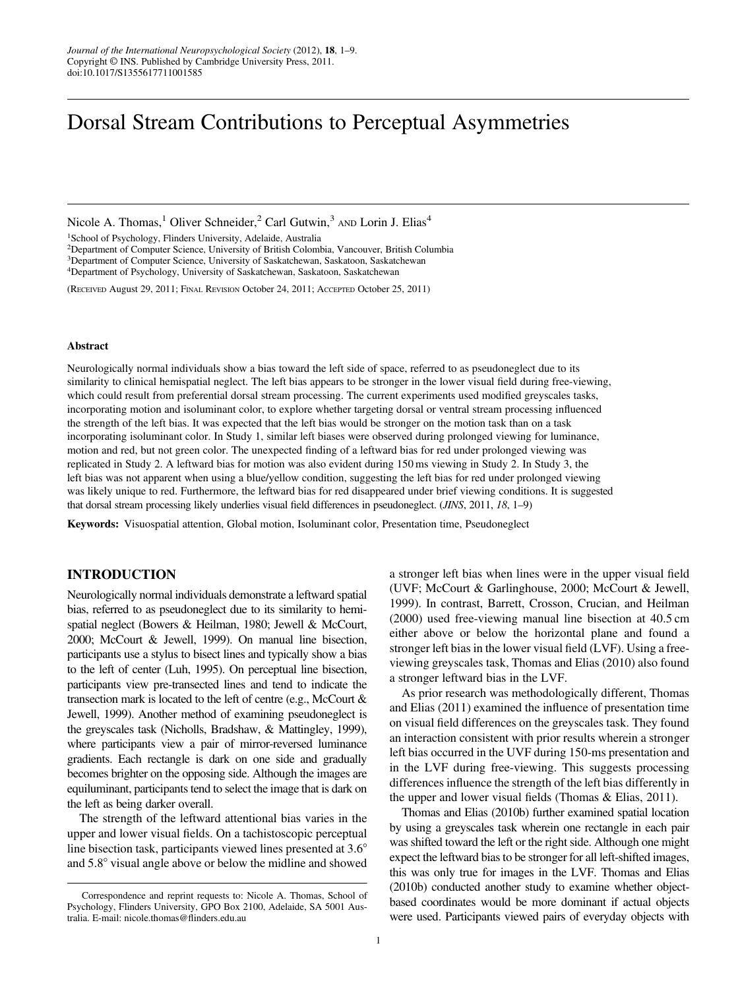# Dorsal Stream Contributions to Perceptual Asymmetries

Nicole A. Thomas,<sup>1</sup> Oliver Schneider,<sup>2</sup> Carl Gutwin,<sup>3</sup> AND Lorin J. Elias<sup>4</sup>

1School of Psychology, Flinders University, Adelaide, Australia

2Department of Computer Science, University of British Colombia, Vancouver, British Columbia

3Department of Computer Science, University of Saskatchewan, Saskatoon, Saskatchewan

4Department of Psychology, University of Saskatchewan, Saskatoon, Saskatchewan

(RECEIVED August 29, 2011; FINAL REVISION October 24, 2011; ACCEPTED October 25, 2011)

#### Abstract

Neurologically normal individuals show a bias toward the left side of space, referred to as pseudoneglect due to its similarity to clinical hemispatial neglect. The left bias appears to be stronger in the lower visual field during free-viewing, which could result from preferential dorsal stream processing. The current experiments used modified greyscales tasks, incorporating motion and isoluminant color, to explore whether targeting dorsal or ventral stream processing influenced the strength of the left bias. It was expected that the left bias would be stronger on the motion task than on a task incorporating isoluminant color. In Study 1, similar left biases were observed during prolonged viewing for luminance, motion and red, but not green color. The unexpected finding of a leftward bias for red under prolonged viewing was replicated in Study 2. A leftward bias for motion was also evident during 150 ms viewing in Study 2. In Study 3, the left bias was not apparent when using a blue/yellow condition, suggesting the left bias for red under prolonged viewing was likely unique to red. Furthermore, the leftward bias for red disappeared under brief viewing conditions. It is suggested that dorsal stream processing likely underlies visual field differences in pseudoneglect. (JINS, 2011, 18, 1–9)

Keywords: Visuospatial attention, Global motion, Isoluminant color, Presentation time, Pseudoneglect

## INTRODUCTION

Neurologically normal individuals demonstrate a leftward spatial bias, referred to as pseudoneglect due to its similarity to hemispatial neglect (Bowers & Heilman, 1980; Jewell & McCourt, 2000; McCourt & Jewell, 1999). On manual line bisection, participants use a stylus to bisect lines and typically show a bias to the left of center (Luh, 1995). On perceptual line bisection, participants view pre-transected lines and tend to indicate the transection mark is located to the left of centre (e.g., McCourt & Jewell, 1999). Another method of examining pseudoneglect is the greyscales task (Nicholls, Bradshaw, & Mattingley, 1999), where participants view a pair of mirror-reversed luminance gradients. Each rectangle is dark on one side and gradually becomes brighter on the opposing side. Although the images are equiluminant, participants tend to select the image that is dark on the left as being darker overall.

The strength of the leftward attentional bias varies in the upper and lower visual fields. On a tachistoscopic perceptual line bisection task, participants viewed lines presented at  $3.6^{\circ}$ and  $5.8^\circ$  visual angle above or below the midline and showed

a stronger left bias when lines were in the upper visual field (UVF; McCourt & Garlinghouse, 2000; McCourt & Jewell, 1999). In contrast, Barrett, Crosson, Crucian, and Heilman (2000) used free-viewing manual line bisection at 40.5 cm either above or below the horizontal plane and found a stronger left bias in the lower visual field (LVF). Using a freeviewing greyscales task, Thomas and Elias (2010) also found a stronger leftward bias in the LVF.

As prior research was methodologically different, Thomas and Elias (2011) examined the influence of presentation time on visual field differences on the greyscales task. They found an interaction consistent with prior results wherein a stronger left bias occurred in the UVF during 150-ms presentation and in the LVF during free-viewing. This suggests processing differences influence the strength of the left bias differently in the upper and lower visual fields (Thomas & Elias, 2011).

Thomas and Elias (2010b) further examined spatial location by using a greyscales task wherein one rectangle in each pair was shifted toward the left or the right side. Although one might expect the leftward bias to be stronger for all left-shifted images, this was only true for images in the LVF. Thomas and Elias (2010b) conducted another study to examine whether objectbased coordinates would be more dominant if actual objects were used. Participants viewed pairs of everyday objects with

Correspondence and reprint requests to: Nicole A. Thomas, School of Psychology, Flinders University, GPO Box 2100, Adelaide, SA 5001 Australia. E-mail: nicole.thomas@flinders.edu.au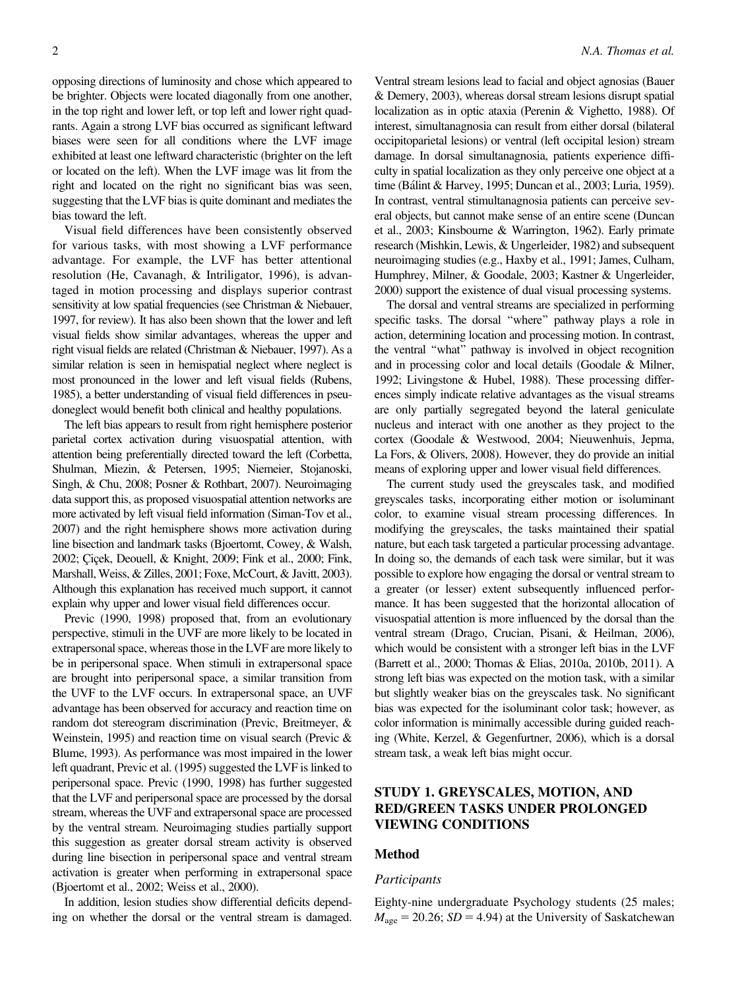opposing directions of luminosity and chose which appeared to be brighter. Objects were located diagonally from one another, in the top right and lower left, or top left and lower right quadrants. Again a strong LVF bias occurred as significant leftward biases were seen for all conditions where the LVF image exhibited at least one leftward characteristic (brighter on the left or located on the left). When the LVF image was lit from the right and located on the right no significant bias was seen, suggesting that the LVF bias is quite dominant and mediates the bias toward the left.

Visual field differences have been consistently observed for various tasks, with most showing a LVF performance advantage. For example, the LVF has better attentional resolution (He, Cavanagh, & Intriligator, 1996), is advantaged in motion processing and displays superior contrast sensitivity at low spatial frequencies (see Christman & Niebauer, 1997, for review). It has also been shown that the lower and left visual fields show similar advantages, whereas the upper and right visual fields are related (Christman & Niebauer, 1997). As a similar relation is seen in hemispatial neglect where neglect is most pronounced in the lower and left visual fields (Rubens, 1985), a better understanding of visual field differences in pseudoneglect would benefit both clinical and healthy populations.

The left bias appears to result from right hemisphere posterior parietal cortex activation during visuospatial attention, with attention being preferentially directed toward the left (Corbetta, Shulman, Miezin, & Petersen, 1995; Niemeier, Stojanoski, Singh, & Chu, 2008; Posner & Rothbart, 2007). Neuroimaging data support this, as proposed visuospatial attention networks are more activated by left visual field information (Siman-Tov et al., 2007) and the right hemisphere shows more activation during line bisection and landmark tasks (Bjoertomt, Cowey, & Walsh, 2002; Çiçek, Deouell, & Knight, 2009; Fink et al., 2000; Fink, Marshall, Weiss, & Zilles, 2001; Foxe, McCourt, & Javitt, 2003). Although this explanation has received much support, it cannot explain why upper and lower visual field differences occur.

Previc (1990, 1998) proposed that, from an evolutionary perspective, stimuli in the UVF are more likely to be located in extrapersonal space, whereas those in the LVF are more likely to be in peripersonal space. When stimuli in extrapersonal space are brought into peripersonal space, a similar transition from the UVF to the LVF occurs. In extrapersonal space, an UVF advantage has been observed for accuracy and reaction time on random dot stereogram discrimination (Previc, Breitmeyer, & Weinstein, 1995) and reaction time on visual search (Previc & Blume, 1993). As performance was most impaired in the lower left quadrant, Previc et al. (1995) suggested the LVF is linked to peripersonal space. Previc (1990, 1998) has further suggested that the LVF and peripersonal space are processed by the dorsal stream, whereas the UVF and extrapersonal space are processed by the ventral stream. Neuroimaging studies partially support this suggestion as greater dorsal stream activity is observed during line bisection in peripersonal space and ventral stream activation is greater when performing in extrapersonal space (Bjoertomt et al., 2002; Weiss et al., 2000).

In addition, lesion studies show differential deficits depending on whether the dorsal or the ventral stream is damaged.

Ventral stream lesions lead to facial and object agnosias (Bauer & Demery, 2003), whereas dorsal stream lesions disrupt spatial localization as in optic ataxia (Perenin & Vighetto, 1988). Of interest, simultanagnosia can result from either dorsal (bilateral occipitoparietal lesions) or ventral (left occipital lesion) stream damage. In dorsal simultanagnosia, patients experience difficulty in spatial localization as they only perceive one object at a time (Bálint & Harvey, 1995; Duncan et al., 2003; Luria, 1959). In contrast, ventral stimultanagnosia patients can perceive several objects, but cannot make sense of an entire scene (Duncan et al., 2003; Kinsbourne & Warrington, 1962). Early primate research (Mishkin, Lewis, & Ungerleider, 1982) and subsequent neuroimaging studies (e.g., Haxby et al., 1991; James, Culham, Humphrey, Milner, & Goodale, 2003; Kastner & Ungerleider, 2000) support the existence of dual visual processing systems.

The dorsal and ventral streams are specialized in performing specific tasks. The dorsal ''where'' pathway plays a role in action, determining location and processing motion. In contrast, the ventral ''what'' pathway is involved in object recognition and in processing color and local details (Goodale & Milner, 1992; Livingstone & Hubel, 1988). These processing differences simply indicate relative advantages as the visual streams are only partially segregated beyond the lateral geniculate nucleus and interact with one another as they project to the cortex (Goodale & Westwood, 2004; Nieuwenhuis, Jepma, La Fors, & Olivers, 2008). However, they do provide an initial means of exploring upper and lower visual field differences.

The current study used the greyscales task, and modified greyscales tasks, incorporating either motion or isoluminant color, to examine visual stream processing differences. In modifying the greyscales, the tasks maintained their spatial nature, but each task targeted a particular processing advantage. In doing so, the demands of each task were similar, but it was possible to explore how engaging the dorsal or ventral stream to a greater (or lesser) extent subsequently influenced performance. It has been suggested that the horizontal allocation of visuospatial attention is more influenced by the dorsal than the ventral stream (Drago, Crucian, Pisani, & Heilman, 2006), which would be consistent with a stronger left bias in the LVF (Barrett et al., 2000; Thomas & Elias, 2010a, 2010b, 2011). A strong left bias was expected on the motion task, with a similar but slightly weaker bias on the greyscales task. No significant bias was expected for the isoluminant color task; however, as color information is minimally accessible during guided reaching (White, Kerzel, & Gegenfurtner, 2006), which is a dorsal stream task, a weak left bias might occur.

# STUDY 1. GREYSCALES, MOTION, AND RED/GREEN TASKS UNDER PROLONGED VIEWING CONDITIONS

# Method

#### Participants

Eighty-nine undergraduate Psychology students (25 males;  $M_{\text{age}} = 20.26$ ; SD = 4.94) at the University of Saskatchewan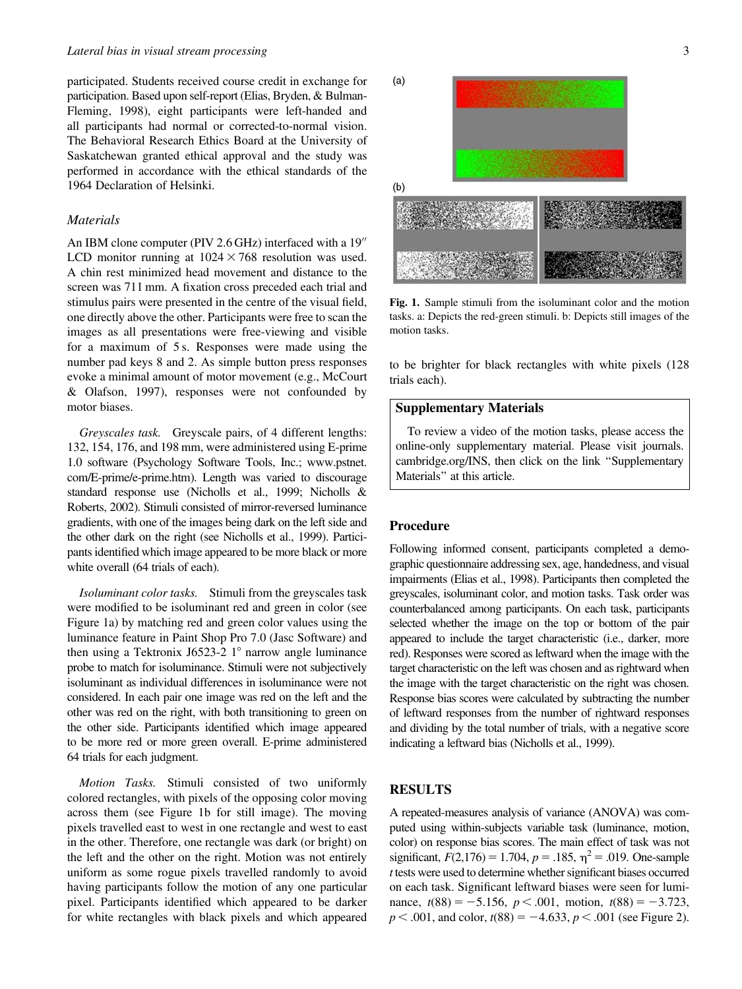participated. Students received course credit in exchange for participation. Based upon self-report (Elias, Bryden, & Bulman-Fleming, 1998), eight participants were left-handed and all participants had normal or corrected-to-normal vision. The Behavioral Research Ethics Board at the University of Saskatchewan granted ethical approval and the study was performed in accordance with the ethical standards of the 1964 Declaration of Helsinki.

#### **Materials**

An IBM clone computer (PIV  $2.6$  GHz) interfaced with a  $19<sup>′′</sup>$ LCD monitor running at  $1024 \times 768$  resolution was used. A chin rest minimized head movement and distance to the screen was 711 mm. A fixation cross preceded each trial and stimulus pairs were presented in the centre of the visual field, one directly above the other. Participants were free to scan the images as all presentations were free-viewing and visible for a maximum of 5 s. Responses were made using the number pad keys 8 and 2. As simple button press responses evoke a minimal amount of motor movement (e.g., McCourt & Olafson, 1997), responses were not confounded by motor biases.

Greyscales task. Greyscale pairs, of 4 different lengths: 132, 154, 176, and 198 mm, were administered using E-prime 1.0 software (Psychology Software Tools, Inc.; www.pstnet. com/E-prime/e-prime.htm). Length was varied to discourage standard response use (Nicholls et al., 1999; Nicholls & Roberts, 2002). Stimuli consisted of mirror-reversed luminance gradients, with one of the images being dark on the left side and the other dark on the right (see Nicholls et al., 1999). Participants identified which image appeared to be more black or more white overall (64 trials of each).

Isoluminant color tasks. Stimuli from the greyscales task were modified to be isoluminant red and green in color (see Figure 1a) by matching red and green color values using the luminance feature in Paint Shop Pro 7.0 (Jasc Software) and then using a Tektronix J6523-2  $1^{\circ}$  narrow angle luminance probe to match for isoluminance. Stimuli were not subjectively isoluminant as individual differences in isoluminance were not considered. In each pair one image was red on the left and the other was red on the right, with both transitioning to green on the other side. Participants identified which image appeared to be more red or more green overall. E-prime administered 64 trials for each judgment.

Motion Tasks. Stimuli consisted of two uniformly colored rectangles, with pixels of the opposing color moving across them (see Figure 1b for still image). The moving pixels travelled east to west in one rectangle and west to east in the other. Therefore, one rectangle was dark (or bright) on the left and the other on the right. Motion was not entirely uniform as some rogue pixels travelled randomly to avoid having participants follow the motion of any one particular pixel. Participants identified which appeared to be darker for white rectangles with black pixels and which appeared



Fig. 1. Sample stimuli from the isoluminant color and the motion tasks. a: Depicts the red-green stimuli. b: Depicts still images of the motion tasks.

to be brighter for black rectangles with white pixels (128 trials each).

### Supplementary Materials

To review a video of the motion tasks, please access the online-only supplementary material. Please visit journals. cambridge.org/INS, then click on the link ''Supplementary Materials'' at this article.

## Procedure

Following informed consent, participants completed a demographic questionnaire addressing sex, age, handedness, and visual impairments (Elias et al., 1998). Participants then completed the greyscales, isoluminant color, and motion tasks. Task order was counterbalanced among participants. On each task, participants selected whether the image on the top or bottom of the pair appeared to include the target characteristic (i.e., darker, more red). Responses were scored as leftward when the image with the target characteristic on the left was chosen and as rightward when the image with the target characteristic on the right was chosen. Response bias scores were calculated by subtracting the number of leftward responses from the number of rightward responses and dividing by the total number of trials, with a negative score indicating a leftward bias (Nicholls et al., 1999).

# RESULTS

A repeated-measures analysis of variance (ANOVA) was computed using within-subjects variable task (luminance, motion, color) on response bias scores. The main effect of task was not significant,  $F(2,176) = 1.704$ ,  $p = .185$ ,  $\eta^2 = .019$ . One-sample t tests were used to determine whether significant biases occurred on each task. Significant leftward biases were seen for luminance,  $t(88) = -5.156$ ,  $p < .001$ , motion,  $t(88) = -3.723$ ,  $p < .001$ , and color,  $t(88) = -4.633$ ,  $p < .001$  (see Figure 2).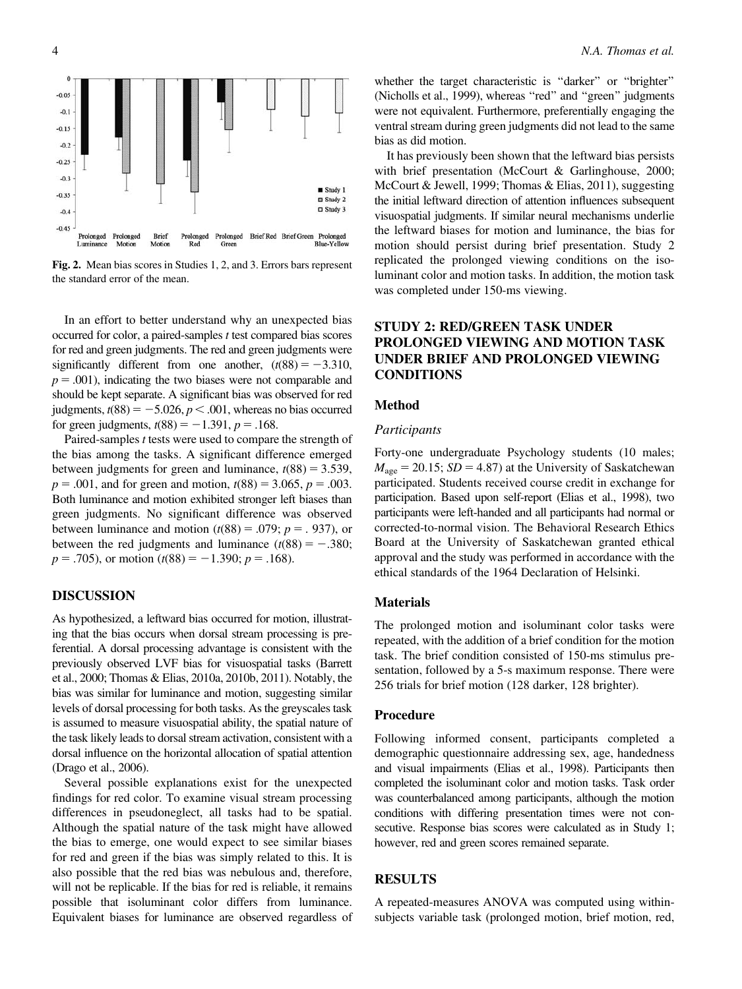

Fig. 2. Mean bias scores in Studies 1, 2, and 3. Errors bars represent the standard error of the mean.

In an effort to better understand why an unexpected bias occurred for color, a paired-samples  $t$  test compared bias scores for red and green judgments. The red and green judgments were significantly different from one another,  $(t(88) = -3.310$ ,  $p = .001$ ), indicating the two biases were not comparable and should be kept separate. A significant bias was observed for red judgments,  $t(88) = -5.026$ ,  $p < .001$ , whereas no bias occurred for green judgments,  $t(88) = -1.391$ ,  $p = .168$ .

Paired-samples t tests were used to compare the strength of the bias among the tasks. A significant difference emerged between judgments for green and luminance,  $t(88) = 3.539$ ,  $p = .001$ , and for green and motion,  $t(88) = 3.065$ ,  $p = .003$ . Both luminance and motion exhibited stronger left biases than green judgments. No significant difference was observed between luminance and motion  $(t(88) = .079; p = .937)$ , or between the red judgments and luminance  $(t(88) = -.380;$  $p = .705$ , or motion (t(88) = -1.390; p = .168).

## DISCUSSION

As hypothesized, a leftward bias occurred for motion, illustrating that the bias occurs when dorsal stream processing is preferential. A dorsal processing advantage is consistent with the previously observed LVF bias for visuospatial tasks (Barrett et al., 2000; Thomas & Elias, 2010a, 2010b, 2011). Notably, the bias was similar for luminance and motion, suggesting similar levels of dorsal processing for both tasks. As the greyscales task is assumed to measure visuospatial ability, the spatial nature of the task likely leads to dorsal stream activation, consistent with a dorsal influence on the horizontal allocation of spatial attention (Drago et al., 2006).

Several possible explanations exist for the unexpected findings for red color. To examine visual stream processing differences in pseudoneglect, all tasks had to be spatial. Although the spatial nature of the task might have allowed the bias to emerge, one would expect to see similar biases for red and green if the bias was simply related to this. It is also possible that the red bias was nebulous and, therefore, will not be replicable. If the bias for red is reliable, it remains possible that isoluminant color differs from luminance. Equivalent biases for luminance are observed regardless of whether the target characteristic is "darker" or "brighter" (Nicholls et al., 1999), whereas ''red'' and ''green'' judgments were not equivalent. Furthermore, preferentially engaging the ventral stream during green judgments did not lead to the same bias as did motion.

It has previously been shown that the leftward bias persists with brief presentation (McCourt & Garlinghouse, 2000; McCourt & Jewell, 1999; Thomas & Elias, 2011), suggesting the initial leftward direction of attention influences subsequent visuospatial judgments. If similar neural mechanisms underlie the leftward biases for motion and luminance, the bias for motion should persist during brief presentation. Study 2 replicated the prolonged viewing conditions on the isoluminant color and motion tasks. In addition, the motion task was completed under 150-ms viewing.

# STUDY 2: RED/GREEN TASK UNDER PROLONGED VIEWING AND MOTION TASK UNDER BRIEF AND PROLONGED VIEWING **CONDITIONS**

# Method

### Participants

Forty-one undergraduate Psychology students (10 males;  $M<sub>age</sub> = 20.15$ ;  $SD = 4.87$ ) at the University of Saskatchewan participated. Students received course credit in exchange for participation. Based upon self-report (Elias et al., 1998), two participants were left-handed and all participants had normal or corrected-to-normal vision. The Behavioral Research Ethics Board at the University of Saskatchewan granted ethical approval and the study was performed in accordance with the ethical standards of the 1964 Declaration of Helsinki.

#### **Materials**

The prolonged motion and isoluminant color tasks were repeated, with the addition of a brief condition for the motion task. The brief condition consisted of 150-ms stimulus presentation, followed by a 5-s maximum response. There were 256 trials for brief motion (128 darker, 128 brighter).

## Procedure

Following informed consent, participants completed a demographic questionnaire addressing sex, age, handedness and visual impairments (Elias et al., 1998). Participants then completed the isoluminant color and motion tasks. Task order was counterbalanced among participants, although the motion conditions with differing presentation times were not consecutive. Response bias scores were calculated as in Study 1; however, red and green scores remained separate.

# RESULTS

A repeated-measures ANOVA was computed using withinsubjects variable task (prolonged motion, brief motion, red,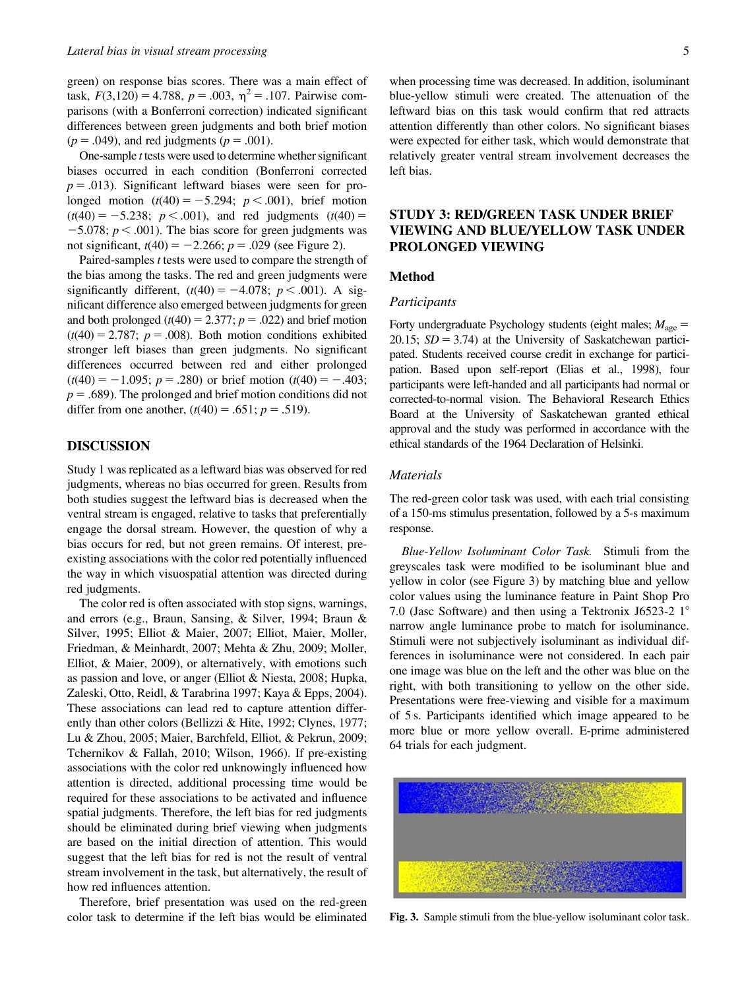green) on response bias scores. There was a main effect of task,  $F(3,120) = 4.788$ ,  $p = .003$ ,  $\eta^2 = .107$ . Pairwise comparisons (with a Bonferroni correction) indicated significant differences between green judgments and both brief motion  $(p = .049)$ , and red judgments  $(p = .001)$ .

One-sample  $t$  tests were used to determine whether significant biases occurred in each condition (Bonferroni corrected  $p = .013$ ). Significant leftward biases were seen for prolonged motion  $(t(40) = -5.294; p < .001)$ , brief motion  $(t(40) = -5.238; p < .001)$ , and red judgments  $(t(40) =$  $-5.078$ ;  $p < .001$ ). The bias score for green judgments was not significant,  $t(40) = -2.266$ ;  $p = .029$  (see Figure 2).

Paired-samples t tests were used to compare the strength of the bias among the tasks. The red and green judgments were significantly different,  $(t(40) = -4.078; p < .001)$ . A significant difference also emerged between judgments for green and both prolonged  $(t(40) = 2.377; p = .022)$  and brief motion  $(t(40) = 2.787; p = .008)$ . Both motion conditions exhibited stronger left biases than green judgments. No significant differences occurred between red and either prolonged  $(t(40) = -1.095; p = .280)$  or brief motion  $(t(40) = -.403;$  $p = .689$ ). The prolonged and brief motion conditions did not differ from one another,  $(t(40) = .651; p = .519)$ .

# DISCUSSION

Study 1 was replicated as a leftward bias was observed for red judgments, whereas no bias occurred for green. Results from both studies suggest the leftward bias is decreased when the ventral stream is engaged, relative to tasks that preferentially engage the dorsal stream. However, the question of why a bias occurs for red, but not green remains. Of interest, preexisting associations with the color red potentially influenced the way in which visuospatial attention was directed during red judgments.

The color red is often associated with stop signs, warnings, and errors (e.g., Braun, Sansing, & Silver, 1994; Braun & Silver, 1995; Elliot & Maier, 2007; Elliot, Maier, Moller, Friedman, & Meinhardt, 2007; Mehta & Zhu, 2009; Moller, Elliot, & Maier, 2009), or alternatively, with emotions such as passion and love, or anger (Elliot & Niesta, 2008; Hupka, Zaleski, Otto, Reidl, & Tarabrina 1997; Kaya & Epps, 2004). These associations can lead red to capture attention differently than other colors (Bellizzi & Hite, 1992; Clynes, 1977; Lu & Zhou, 2005; Maier, Barchfeld, Elliot, & Pekrun, 2009; Tchernikov & Fallah, 2010; Wilson, 1966). If pre-existing associations with the color red unknowingly influenced how attention is directed, additional processing time would be required for these associations to be activated and influence spatial judgments. Therefore, the left bias for red judgments should be eliminated during brief viewing when judgments are based on the initial direction of attention. This would suggest that the left bias for red is not the result of ventral stream involvement in the task, but alternatively, the result of how red influences attention.

Therefore, brief presentation was used on the red-green color task to determine if the left bias would be eliminated

when processing time was decreased. In addition, isoluminant blue-yellow stimuli were created. The attenuation of the leftward bias on this task would confirm that red attracts attention differently than other colors. No significant biases were expected for either task, which would demonstrate that relatively greater ventral stream involvement decreases the left bias.

# STUDY 3: RED/GREEN TASK UNDER BRIEF VIEWING AND BLUE/YELLOW TASK UNDER PROLONGED VIEWING

#### Method

#### Participants

Forty undergraduate Psychology students (eight males;  $M_{\text{age}} =$ 20.15;  $SD = 3.74$ ) at the University of Saskatchewan participated. Students received course credit in exchange for participation. Based upon self-report (Elias et al., 1998), four participants were left-handed and all participants had normal or corrected-to-normal vision. The Behavioral Research Ethics Board at the University of Saskatchewan granted ethical approval and the study was performed in accordance with the ethical standards of the 1964 Declaration of Helsinki.

#### Materials

The red-green color task was used, with each trial consisting of a 150-ms stimulus presentation, followed by a 5-s maximum response.

Blue-Yellow Isoluminant Color Task. Stimuli from the greyscales task were modified to be isoluminant blue and yellow in color (see Figure 3) by matching blue and yellow color values using the luminance feature in Paint Shop Pro 7.0 (Jasc Software) and then using a Tektronix J6523-2  $1^{\circ}$ narrow angle luminance probe to match for isoluminance. Stimuli were not subjectively isoluminant as individual differences in isoluminance were not considered. In each pair one image was blue on the left and the other was blue on the right, with both transitioning to yellow on the other side. Presentations were free-viewing and visible for a maximum of 5 s. Participants identified which image appeared to be more blue or more yellow overall. E-prime administered 64 trials for each judgment.



Fig. 3. Sample stimuli from the blue-yellow isoluminant color task.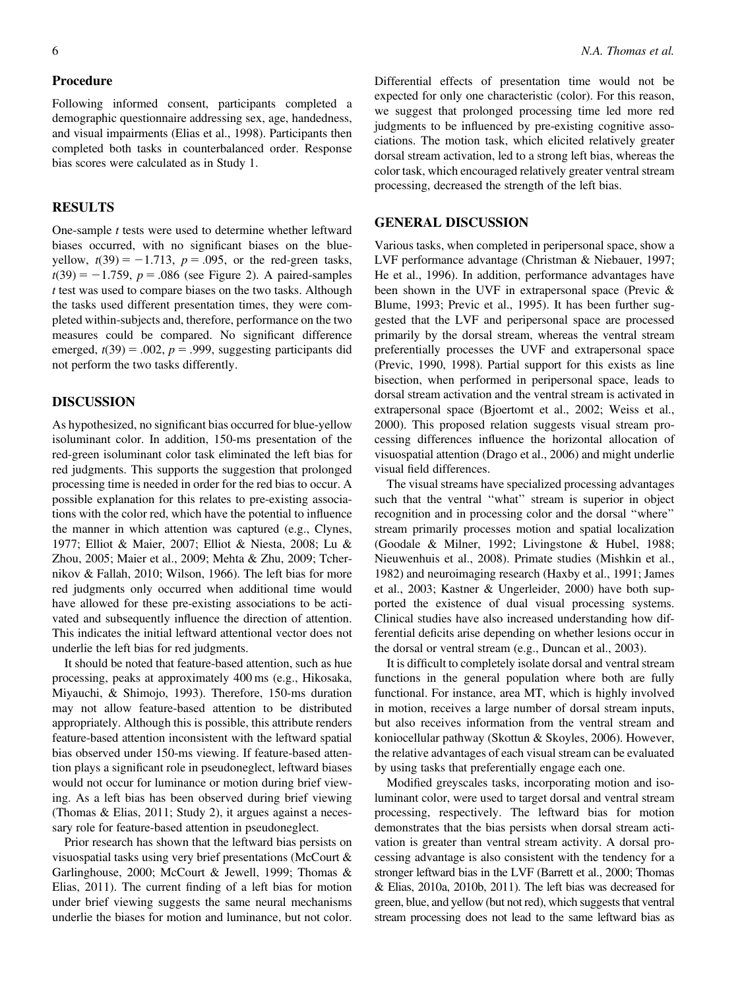## Procedure

Following informed consent, participants completed a demographic questionnaire addressing sex, age, handedness, and visual impairments (Elias et al., 1998). Participants then completed both tasks in counterbalanced order. Response bias scores were calculated as in Study 1.

## RESULTS

One-sample t tests were used to determine whether leftward biases occurred, with no significant biases on the blueyellow,  $t(39) = -1.713$ ,  $p = .095$ , or the red-green tasks,  $t(39) = -1.759$ ,  $p = .086$  (see Figure 2). A paired-samples t test was used to compare biases on the two tasks. Although the tasks used different presentation times, they were completed within-subjects and, therefore, performance on the two measures could be compared. No significant difference emerged,  $t(39) = .002$ ,  $p = .999$ , suggesting participants did not perform the two tasks differently.

#### DISCUSSION

As hypothesized, no significant bias occurred for blue-yellow isoluminant color. In addition, 150-ms presentation of the red-green isoluminant color task eliminated the left bias for red judgments. This supports the suggestion that prolonged processing time is needed in order for the red bias to occur. A possible explanation for this relates to pre-existing associations with the color red, which have the potential to influence the manner in which attention was captured (e.g., Clynes, 1977; Elliot & Maier, 2007; Elliot & Niesta, 2008; Lu & Zhou, 2005; Maier et al., 2009; Mehta & Zhu, 2009; Tchernikov & Fallah, 2010; Wilson, 1966). The left bias for more red judgments only occurred when additional time would have allowed for these pre-existing associations to be activated and subsequently influence the direction of attention. This indicates the initial leftward attentional vector does not underlie the left bias for red judgments.

It should be noted that feature-based attention, such as hue processing, peaks at approximately 400 ms (e.g., Hikosaka, Miyauchi, & Shimojo, 1993). Therefore, 150-ms duration may not allow feature-based attention to be distributed appropriately. Although this is possible, this attribute renders feature-based attention inconsistent with the leftward spatial bias observed under 150-ms viewing. If feature-based attention plays a significant role in pseudoneglect, leftward biases would not occur for luminance or motion during brief viewing. As a left bias has been observed during brief viewing (Thomas & Elias, 2011; Study 2), it argues against a necessary role for feature-based attention in pseudoneglect.

Prior research has shown that the leftward bias persists on visuospatial tasks using very brief presentations (McCourt & Garlinghouse, 2000; McCourt & Jewell, 1999; Thomas & Elias, 2011). The current finding of a left bias for motion under brief viewing suggests the same neural mechanisms underlie the biases for motion and luminance, but not color.

Differential effects of presentation time would not be expected for only one characteristic (color). For this reason, we suggest that prolonged processing time led more red judgments to be influenced by pre-existing cognitive associations. The motion task, which elicited relatively greater dorsal stream activation, led to a strong left bias, whereas the color task, which encouraged relatively greater ventral stream processing, decreased the strength of the left bias.

## GENERAL DISCUSSION

Various tasks, when completed in peripersonal space, show a LVF performance advantage (Christman & Niebauer, 1997; He et al., 1996). In addition, performance advantages have been shown in the UVF in extrapersonal space (Previc & Blume, 1993; Previc et al., 1995). It has been further suggested that the LVF and peripersonal space are processed primarily by the dorsal stream, whereas the ventral stream preferentially processes the UVF and extrapersonal space (Previc, 1990, 1998). Partial support for this exists as line bisection, when performed in peripersonal space, leads to dorsal stream activation and the ventral stream is activated in extrapersonal space (Bjoertomt et al., 2002; Weiss et al., 2000). This proposed relation suggests visual stream processing differences influence the horizontal allocation of visuospatial attention (Drago et al., 2006) and might underlie visual field differences.

The visual streams have specialized processing advantages such that the ventral "what" stream is superior in object recognition and in processing color and the dorsal ''where'' stream primarily processes motion and spatial localization (Goodale & Milner, 1992; Livingstone & Hubel, 1988; Nieuwenhuis et al., 2008). Primate studies (Mishkin et al., 1982) and neuroimaging research (Haxby et al., 1991; James et al., 2003; Kastner & Ungerleider, 2000) have both supported the existence of dual visual processing systems. Clinical studies have also increased understanding how differential deficits arise depending on whether lesions occur in the dorsal or ventral stream (e.g., Duncan et al., 2003).

It is difficult to completely isolate dorsal and ventral stream functions in the general population where both are fully functional. For instance, area MT, which is highly involved in motion, receives a large number of dorsal stream inputs, but also receives information from the ventral stream and koniocellular pathway (Skottun & Skoyles, 2006). However, the relative advantages of each visual stream can be evaluated by using tasks that preferentially engage each one.

Modified greyscales tasks, incorporating motion and isoluminant color, were used to target dorsal and ventral stream processing, respectively. The leftward bias for motion demonstrates that the bias persists when dorsal stream activation is greater than ventral stream activity. A dorsal processing advantage is also consistent with the tendency for a stronger leftward bias in the LVF (Barrett et al., 2000; Thomas & Elias, 2010a, 2010b, 2011). The left bias was decreased for green, blue, and yellow (but not red), which suggests that ventral stream processing does not lead to the same leftward bias as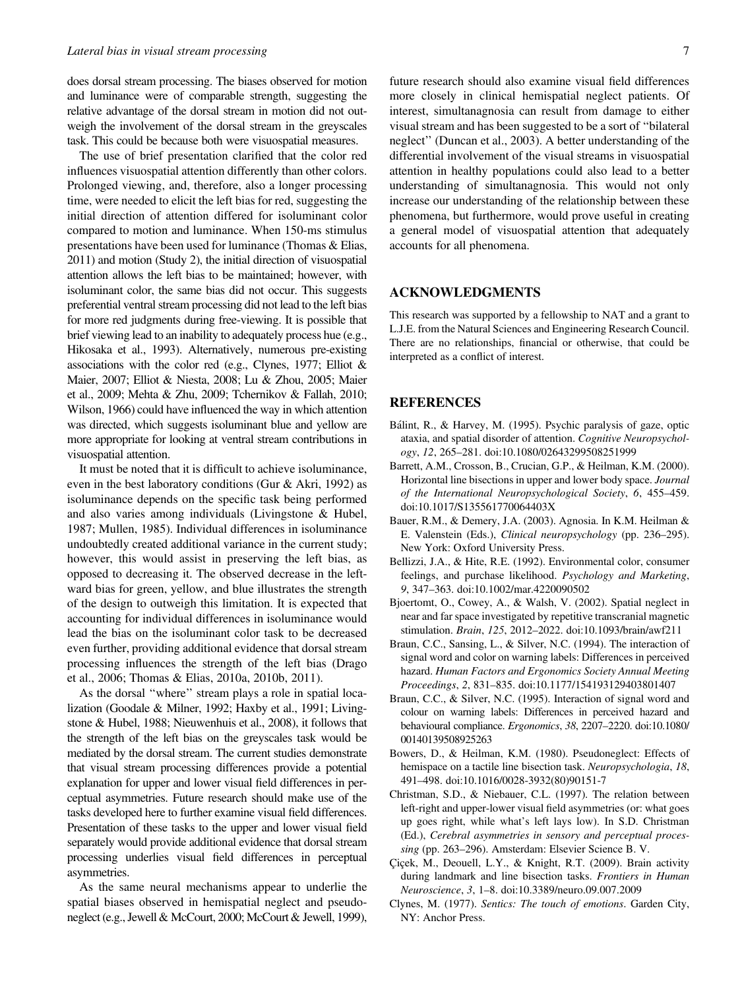does dorsal stream processing. The biases observed for motion and luminance were of comparable strength, suggesting the relative advantage of the dorsal stream in motion did not outweigh the involvement of the dorsal stream in the greyscales task. This could be because both were visuospatial measures.

The use of brief presentation clarified that the color red influences visuospatial attention differently than other colors. Prolonged viewing, and, therefore, also a longer processing time, were needed to elicit the left bias for red, suggesting the initial direction of attention differed for isoluminant color compared to motion and luminance. When 150-ms stimulus presentations have been used for luminance (Thomas & Elias, 2011) and motion (Study 2), the initial direction of visuospatial attention allows the left bias to be maintained; however, with isoluminant color, the same bias did not occur. This suggests preferential ventral stream processing did not lead to the left bias for more red judgments during free-viewing. It is possible that brief viewing lead to an inability to adequately process hue (e.g., Hikosaka et al., 1993). Alternatively, numerous pre-existing associations with the color red (e.g., Clynes, 1977; Elliot & Maier, 2007; Elliot & Niesta, 2008; Lu & Zhou, 2005; Maier et al., 2009; Mehta & Zhu, 2009; Tchernikov & Fallah, 2010; Wilson, 1966) could have influenced the way in which attention was directed, which suggests isoluminant blue and yellow are more appropriate for looking at ventral stream contributions in visuospatial attention.

It must be noted that it is difficult to achieve isoluminance, even in the best laboratory conditions (Gur & Akri, 1992) as isoluminance depends on the specific task being performed and also varies among individuals (Livingstone & Hubel, 1987; Mullen, 1985). Individual differences in isoluminance undoubtedly created additional variance in the current study; however, this would assist in preserving the left bias, as opposed to decreasing it. The observed decrease in the leftward bias for green, yellow, and blue illustrates the strength of the design to outweigh this limitation. It is expected that accounting for individual differences in isoluminance would lead the bias on the isoluminant color task to be decreased even further, providing additional evidence that dorsal stream processing influences the strength of the left bias (Drago et al., 2006; Thomas & Elias, 2010a, 2010b, 2011).

As the dorsal ''where'' stream plays a role in spatial localization (Goodale & Milner, 1992; Haxby et al., 1991; Livingstone & Hubel, 1988; Nieuwenhuis et al., 2008), it follows that the strength of the left bias on the greyscales task would be mediated by the dorsal stream. The current studies demonstrate that visual stream processing differences provide a potential explanation for upper and lower visual field differences in perceptual asymmetries. Future research should make use of the tasks developed here to further examine visual field differences. Presentation of these tasks to the upper and lower visual field separately would provide additional evidence that dorsal stream processing underlies visual field differences in perceptual asymmetries.

As the same neural mechanisms appear to underlie the spatial biases observed in hemispatial neglect and pseudoneglect (e.g., Jewell & McCourt, 2000; McCourt & Jewell, 1999),

future research should also examine visual field differences more closely in clinical hemispatial neglect patients. Of interest, simultanagnosia can result from damage to either visual stream and has been suggested to be a sort of ''bilateral neglect'' (Duncan et al., 2003). A better understanding of the differential involvement of the visual streams in visuospatial attention in healthy populations could also lead to a better understanding of simultanagnosia. This would not only increase our understanding of the relationship between these phenomena, but furthermore, would prove useful in creating a general model of visuospatial attention that adequately accounts for all phenomena.

#### ACKNOWLEDGMENTS

This research was supported by a fellowship to NAT and a grant to L.J.E. from the Natural Sciences and Engineering Research Council. There are no relationships, financial or otherwise, that could be interpreted as a conflict of interest.

#### REFERENCES

- Bálint, R., & Harvey, M. (1995). Psychic paralysis of gaze, optic ataxia, and spatial disorder of attention. Cognitive Neuropsychology, 12, 265–281. doi:10.1080/02643299508251999
- Barrett, A.M., Crosson, B., Crucian, G.P., & Heilman, K.M. (2000). Horizontal line bisections in upper and lower body space. Journal of the International Neuropsychological Society, 6, 455–459. doi:10.1017/S135561770064403X
- Bauer, R.M., & Demery, J.A. (2003). Agnosia. In K.M. Heilman & E. Valenstein (Eds.), Clinical neuropsychology (pp. 236-295). New York: Oxford University Press.
- Bellizzi, J.A., & Hite, R.E. (1992). Environmental color, consumer feelings, and purchase likelihood. Psychology and Marketing, 9, 347–363. doi:10.1002/mar.4220090502
- Bjoertomt, O., Cowey, A., & Walsh, V. (2002). Spatial neglect in near and far space investigated by repetitive transcranial magnetic stimulation. Brain, 125, 2012–2022. doi:10.1093/brain/awf211
- Braun, C.C., Sansing, L., & Silver, N.C. (1994). The interaction of signal word and color on warning labels: Differences in perceived hazard. Human Factors and Ergonomics Society Annual Meeting Proceedings, 2, 831–835. doi:10.1177/154193129403801407
- Braun, C.C., & Silver, N.C. (1995). Interaction of signal word and colour on warning labels: Differences in perceived hazard and behavioural compliance. Ergonomics, 38, 2207–2220. doi:10.1080/ 00140139508925263
- Bowers, D., & Heilman, K.M. (1980). Pseudoneglect: Effects of hemispace on a tactile line bisection task. Neuropsychologia, 18, 491–498. doi:10.1016/0028-3932(80)90151-7
- Christman, S.D., & Niebauer, C.L. (1997). The relation between left-right and upper-lower visual field asymmetries (or: what goes up goes right, while what's left lays low). In S.D. Christman (Ed.), Cerebral asymmetries in sensory and perceptual processing (pp. 263–296). Amsterdam: Elsevier Science B. V.
- Çiçek, M., Deouell, L.Y., & Knight, R.T. (2009). Brain activity during landmark and line bisection tasks. Frontiers in Human Neuroscience, 3, 1–8. doi:10.3389/neuro.09.007.2009
- Clynes, M. (1977). Sentics: The touch of emotions. Garden City, NY: Anchor Press.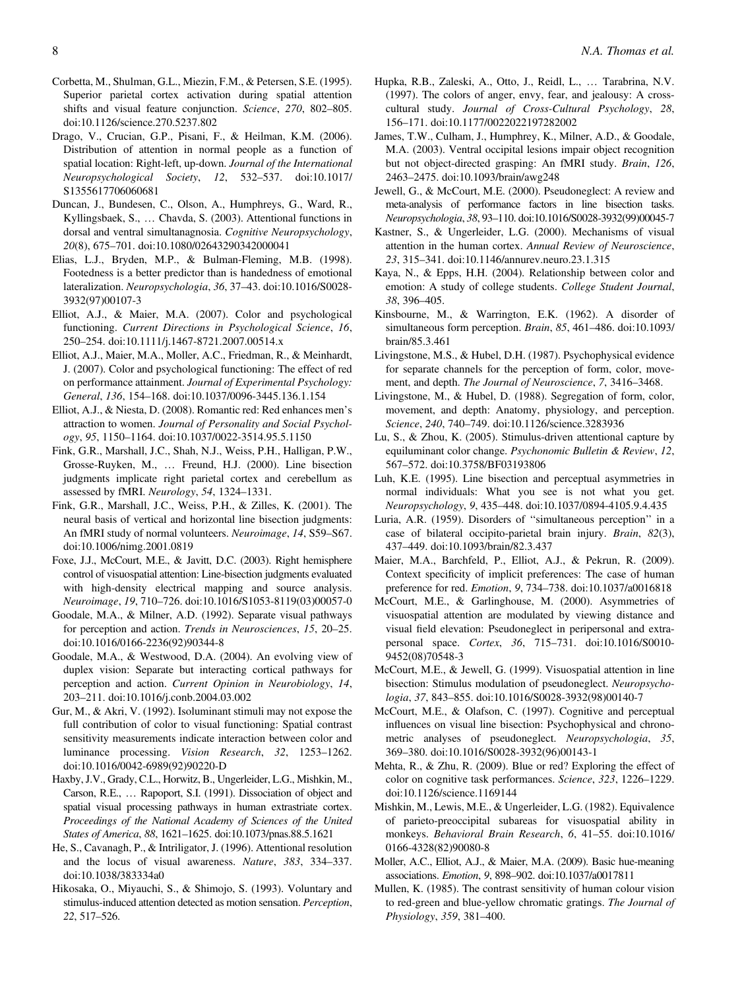- Corbetta, M., Shulman, G.L., Miezin, F.M., & Petersen, S.E. (1995). Superior parietal cortex activation during spatial attention shifts and visual feature conjunction. Science, 270, 802–805. doi:10.1126/science.270.5237.802
- Drago, V., Crucian, G.P., Pisani, F., & Heilman, K.M. (2006). Distribution of attention in normal people as a function of spatial location: Right-left, up-down. Journal of the International Neuropsychological Society, 12, 532–537. doi:10.1017/ S1355617706060681
- Duncan, J., Bundesen, C., Olson, A., Humphreys, G., Ward, R., Kyllingsbaek, S., ... Chavda, S. (2003). Attentional functions in dorsal and ventral simultanagnosia. Cognitive Neuropsychology, 20(8), 675–701. doi:10.1080/02643290342000041
- Elias, L.J., Bryden, M.P., & Bulman-Fleming, M.B. (1998). Footedness is a better predictor than is handedness of emotional lateralization. Neuropsychologia, 36, 37–43. doi:10.1016/S0028- 3932(97)00107-3
- Elliot, A.J., & Maier, M.A. (2007). Color and psychological functioning. Current Directions in Psychological Science, 16, 250–254. doi:10.1111/j.1467-8721.2007.00514.x
- Elliot, A.J., Maier, M.A., Moller, A.C., Friedman, R., & Meinhardt, J. (2007). Color and psychological functioning: The effect of red on performance attainment. Journal of Experimental Psychology: General, 136, 154–168. doi:10.1037/0096-3445.136.1.154
- Elliot, A.J., & Niesta, D. (2008). Romantic red: Red enhances men's attraction to women. Journal of Personality and Social Psychology, 95, 1150–1164. doi:10.1037/0022-3514.95.5.1150
- Fink, G.R., Marshall, J.C., Shah, N.J., Weiss, P.H., Halligan, P.W., Grosse-Ruyken, M., ... Freund, H.J. (2000). Line bisection judgments implicate right parietal cortex and cerebellum as assessed by fMRI. Neurology, 54, 1324–1331.
- Fink, G.R., Marshall, J.C., Weiss, P.H., & Zilles, K. (2001). The neural basis of vertical and horizontal line bisection judgments: An fMRI study of normal volunteers. Neuroimage, 14, S59–S67. doi:10.1006/nimg.2001.0819
- Foxe, J.J., McCourt, M.E., & Javitt, D.C. (2003). Right hemisphere control of visuospatial attention: Line-bisection judgments evaluated with high-density electrical mapping and source analysis. Neuroimage, 19, 710–726. doi:10.1016/S1053-8119(03)00057-0
- Goodale, M.A., & Milner, A.D. (1992). Separate visual pathways for perception and action. Trends in Neurosciences, 15, 20–25. doi:10.1016/0166-2236(92)90344-8
- Goodale, M.A., & Westwood, D.A. (2004). An evolving view of duplex vision: Separate but interacting cortical pathways for perception and action. Current Opinion in Neurobiology, 14, 203–211. doi:10.1016/j.conb.2004.03.002
- Gur, M., & Akri, V. (1992). Isoluminant stimuli may not expose the full contribution of color to visual functioning: Spatial contrast sensitivity measurements indicate interaction between color and luminance processing. Vision Research, 32, 1253–1262. doi:10.1016/0042-6989(92)90220-D
- Haxby, J.V., Grady, C.L., Horwitz, B., Ungerleider, L.G., Mishkin, M., Carson, R.E., ... Rapoport, S.I. (1991). Dissociation of object and spatial visual processing pathways in human extrastriate cortex. Proceedings of the National Academy of Sciences of the United States of America, 88, 1621–1625. doi:10.1073/pnas.88.5.1621
- He, S., Cavanagh, P., & Intriligator, J. (1996). Attentional resolution and the locus of visual awareness. Nature, 383, 334–337. doi:10.1038/383334a0
- Hikosaka, O., Miyauchi, S., & Shimojo, S. (1993). Voluntary and stimulus-induced attention detected as motion sensation. Perception, 22, 517–526.
- Hupka, R.B., Zaleski, A., Otto, J., Reidl, L., ... Tarabrina, N.V. (1997). The colors of anger, envy, fear, and jealousy: A crosscultural study. Journal of Cross-Cultural Psychology, 28, 156–171. doi:10.1177/0022022197282002
- James, T.W., Culham, J., Humphrey, K., Milner, A.D., & Goodale, M.A. (2003). Ventral occipital lesions impair object recognition but not object-directed grasping: An fMRI study. Brain, 126, 2463–2475. doi:10.1093/brain/awg248
- Jewell, G., & McCourt, M.E. (2000). Pseudoneglect: A review and meta-analysis of performance factors in line bisection tasks. Neuropsychologia, 38, 93–110. doi:10.1016/S0028-3932(99)00045-7
- Kastner, S., & Ungerleider, L.G. (2000). Mechanisms of visual attention in the human cortex. Annual Review of Neuroscience, 23, 315–341. doi:10.1146/annurev.neuro.23.1.315
- Kaya, N., & Epps, H.H. (2004). Relationship between color and emotion: A study of college students. College Student Journal, 38, 396–405.
- Kinsbourne, M., & Warrington, E.K. (1962). A disorder of simultaneous form perception. Brain, 85, 461-486. doi:10.1093/ brain/85.3.461
- Livingstone, M.S., & Hubel, D.H. (1987). Psychophysical evidence for separate channels for the perception of form, color, movement, and depth. The Journal of Neuroscience, 7, 3416-3468.
- Livingstone, M., & Hubel, D. (1988). Segregation of form, color, movement, and depth: Anatomy, physiology, and perception. Science, 240, 740–749. doi:10.1126/science.3283936
- Lu, S., & Zhou, K. (2005). Stimulus-driven attentional capture by equiluminant color change. Psychonomic Bulletin & Review, 12, 567–572. doi:10.3758/BF03193806
- Luh, K.E. (1995). Line bisection and perceptual asymmetries in normal individuals: What you see is not what you get. Neuropsychology, 9, 435–448. doi:10.1037/0894-4105.9.4.435
- Luria, A.R. (1959). Disorders of ''simultaneous perception'' in a case of bilateral occipito-parietal brain injury. Brain, 82(3), 437–449. doi:10.1093/brain/82.3.437
- Maier, M.A., Barchfeld, P., Elliot, A.J., & Pekrun, R. (2009). Context specificity of implicit preferences: The case of human preference for red. Emotion, 9, 734–738. doi:10.1037/a0016818
- McCourt, M.E., & Garlinghouse, M. (2000). Asymmetries of visuospatial attention are modulated by viewing distance and visual field elevation: Pseudoneglect in peripersonal and extrapersonal space. Cortex, 36, 715–731. doi:10.1016/S0010- 9452(08)70548-3
- McCourt, M.E., & Jewell, G. (1999). Visuospatial attention in line bisection: Stimulus modulation of pseudoneglect. Neuropsychologia, 37, 843–855. doi:10.1016/S0028-3932(98)00140-7
- McCourt, M.E., & Olafson, C. (1997). Cognitive and perceptual influences on visual line bisection: Psychophysical and chronometric analyses of pseudoneglect. Neuropsychologia, 35, 369–380. doi:10.1016/S0028-3932(96)00143-1
- Mehta, R., & Zhu, R. (2009). Blue or red? Exploring the effect of color on cognitive task performances. Science, 323, 1226–1229. doi:10.1126/science.1169144
- Mishkin, M., Lewis, M.E., & Ungerleider, L.G. (1982). Equivalence of parieto-preoccipital subareas for visuospatial ability in monkeys. Behavioral Brain Research, 6, 41–55. doi:10.1016/ 0166-4328(82)90080-8
- Moller, A.C., Elliot, A.J., & Maier, M.A. (2009). Basic hue-meaning associations. Emotion, 9, 898–902. doi:10.1037/a0017811
- Mullen, K. (1985). The contrast sensitivity of human colour vision to red-green and blue-yellow chromatic gratings. The Journal of Physiology, 359, 381–400.